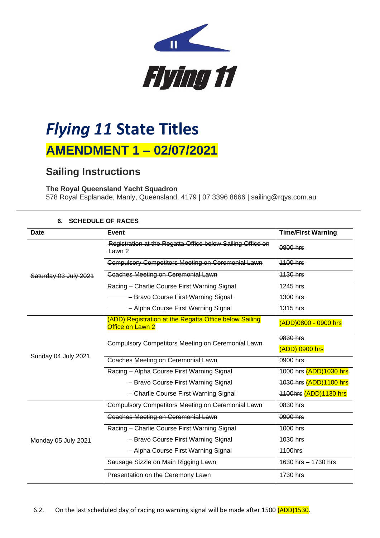



# *Flying 11* **State Titles AMENDMENT 1 – 02/07/2021**

# **Sailing Instructions**

### **The Royal Queensland Yacht Squadron**

578 Royal Esplanade, Manly, Queensland, 4179 | 07 3396 8666 | sailing@rqys.com.au

#### **Date Event Exercise Exercise <b>Exercise Exercise Exercise Exercise Exercise Exercise** Saturday 03 July 2021 Registration at the Regatta Office below Sailing Office on  $\bigg|$  0800 hrs Compulsory Competitors Meeting on Ceremonial Lawn | 1100 hrs Coaches Meeting on Ceremonial Lawn 1130 hrs Racing – Charlie Course First Warning Signal **Bravo Course First Warning Signal**  – Alpha Course First Warning Signal 1245 hrs 1300 hrs 1315 hrs Sunday 04 July 2021 (ADD) Registration at the Regatta Office below Sailing (ADD) Negistration at the Negatia Office below Saliffly<br>Office on Lawn 2 Compulsory Competitors Meeting on Ceremonial Lawn 0830 hrs (ADD) 0900 hrs Coaches Meeting on Ceremonial Lawn **Demonment Coaches Meeting on Ceremonial Lawn** Racing – Alpha Course First Warning Signal – Bravo Course First Warning Signal – Charlie Course First Warning Signal 1000 hrs (ADD)1030 hrs 1030 hrs (ADD)1100 hrs 1100hrs (ADD)1130 hrs Monday 05 July 2021 Compulsory Competitors Meeting on Ceremonial Lawn | 0830 hrs Coaches Meeting on Ceremonial Lawn Racing – Charlie Course First Warning Signal – Bravo Course First Warning Signal – Alpha Course First Warning Signal 1000 hrs 1030 hrs 1100hrs Sausage Sizzle on Main Rigging Lawn 1630 hrs – 1730 hrs Presentation on the Ceremony Lawn 1730 hrs

#### **6. SCHEDULE OF RACES**